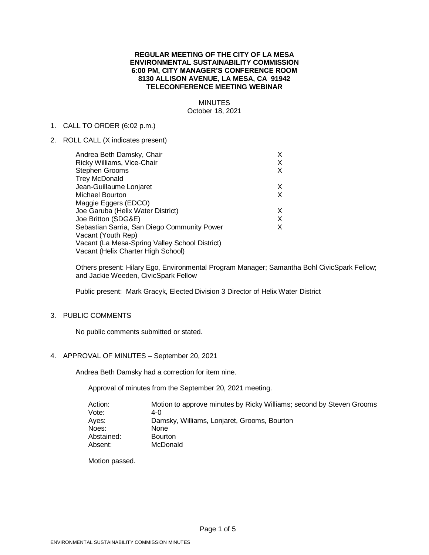# **REGULAR MEETING OF THE CITY OF LA MESA ENVIRONMENTAL SUSTAINABILITY COMMISSION 6:00 PM, CITY MANAGER'S CONFERENCE ROOM 8130 ALLISON AVENUE, LA MESA, CA 91942 TELECONFERENCE MEETING WEBINAR**

# MINUTES October 18, 2021

#### 1. CALL TO ORDER (6:02 p.m.)

2. ROLL CALL (X indicates present)

| Andrea Beth Damsky, Chair                      | x |
|------------------------------------------------|---|
| Ricky Williams, Vice-Chair                     | х |
| Stephen Grooms                                 | x |
| <b>Trey McDonald</b>                           |   |
| Jean-Guillaume Lonjaret                        | X |
| Michael Bourton                                | X |
| Maggie Eggers (EDCO)                           |   |
| Joe Garuba (Helix Water District)              | Х |
| Joe Britton (SDG&E)                            | X |
| Sebastian Sarria, San Diego Community Power    | x |
| Vacant (Youth Rep)                             |   |
| Vacant (La Mesa-Spring Valley School District) |   |
| Vacant (Helix Charter High School)             |   |
|                                                |   |

Others present: Hilary Ego, Environmental Program Manager; Samantha Bohl CivicSpark Fellow; and Jackie Weeden, CivicSpark Fellow

Public present: Mark Gracyk, Elected Division 3 Director of Helix Water District

# 3. PUBLIC COMMENTS

No public comments submitted or stated.

# 4. APPROVAL OF MINUTES – September 20, 2021

Andrea Beth Damsky had a correction for item nine.

Approval of minutes from the September 20, 2021 meeting.

| Motion to approve minutes by Ricky Williams; second by Steven Grooms |
|----------------------------------------------------------------------|
| 4- $\Omega$                                                          |
| Damsky, Williams, Lonjaret, Grooms, Bourton                          |
| None                                                                 |
| <b>Bourton</b>                                                       |
| McDonald                                                             |
|                                                                      |

Motion passed.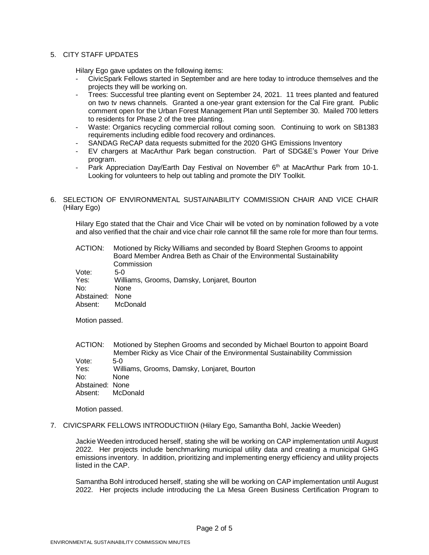# 5. CITY STAFF UPDATES

Hilary Ego gave updates on the following items:

- CivicSpark Fellows started in September and are here today to introduce themselves and the projects they will be working on.
- Trees: Successful tree planting event on September 24, 2021. 11 trees planted and featured on two tv news channels. Granted a one-year grant extension for the Cal Fire grant. Public comment open for the Urban Forest Management Plan until September 30. Mailed 700 letters to residents for Phase 2 of the tree planting.
- Waste: Organics recycling commercial rollout coming soon. Continuing to work on SB1383 requirements including edible food recovery and ordinances.
- SANDAG ReCAP data requests submitted for the 2020 GHG Emissions Inventory
- EV chargers at MacArthur Park began construction. Part of SDG&E's Power Your Drive program.
- Park Appreciation Day/Earth Day Festival on November  $6<sup>th</sup>$  at MacArthur Park from 10-1. Looking for volunteers to help out tabling and promote the DIY Toolkit.

# 6. SELECTION OF ENVIRONMENTAL SUSTAINABILITY COMMISSION CHAIR AND VICE CHAIR (Hilary Ego)

Hilary Ego stated that the Chair and Vice Chair will be voted on by nomination followed by a vote and also verified that the chair and vice chair role cannot fill the same role for more than four terms.

| ACTION:         | Motioned by Ricky Williams and seconded by Board Stephen Grooms to appoint<br>Board Member Andrea Beth as Chair of the Environmental Sustainability<br>Commission |
|-----------------|-------------------------------------------------------------------------------------------------------------------------------------------------------------------|
| Vote:           | $5-0$                                                                                                                                                             |
| Yes:            | Williams, Grooms, Damsky, Lonjaret, Bourton                                                                                                                       |
| No:             | <b>None</b>                                                                                                                                                       |
| Abstained: None |                                                                                                                                                                   |
| Absent:         | McDonald                                                                                                                                                          |

Motion passed.

| ACTION:         | Motioned by Stephen Grooms and seconded by Michael Bourton to appoint Board |
|-----------------|-----------------------------------------------------------------------------|
|                 | Member Ricky as Vice Chair of the Environmental Sustainability Commission   |
| Vote:           | $5-0$                                                                       |
| Yes:            | Williams, Grooms, Damsky, Lonjaret, Bourton                                 |
| No:             | <b>None</b>                                                                 |
| Abstained: None |                                                                             |
| Absent:         | McDonald                                                                    |

Motion passed.

7. CIVICSPARK FELLOWS INTRODUCTIION (Hilary Ego, Samantha Bohl, Jackie Weeden)

Jackie Weeden introduced herself, stating she will be working on CAP implementation until August 2022. Her projects include benchmarking municipal utility data and creating a municipal GHG emissions inventory. In addition, prioritizing and implementing energy efficiency and utility projects listed in the CAP.

Samantha Bohl introduced herself, stating she will be working on CAP implementation until August 2022. Her projects include introducing the La Mesa Green Business Certification Program to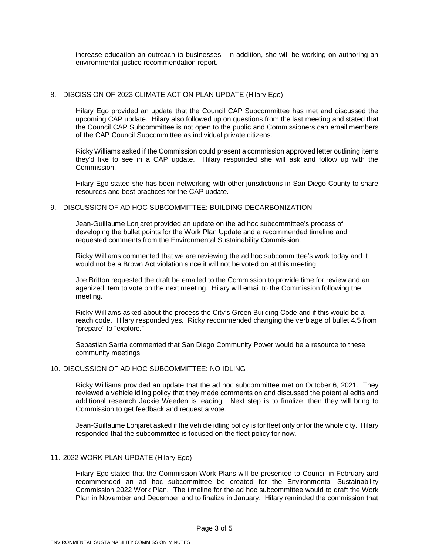increase education an outreach to businesses. In addition, she will be working on authoring an environmental justice recommendation report.

# 8. DISCISSION OF 2023 CLIMATE ACTION PLAN UPDATE (Hilary Ego)

Hilary Ego provided an update that the Council CAP Subcommittee has met and discussed the upcoming CAP update. Hilary also followed up on questions from the last meeting and stated that the Council CAP Subcommittee is not open to the public and Commissioners can email members of the CAP Council Subcommittee as individual private citizens.

Ricky Williams asked if the Commission could present a commission approved letter outlining items they'd like to see in a CAP update. Hilary responded she will ask and follow up with the Commission.

Hilary Ego stated she has been networking with other jurisdictions in San Diego County to share resources and best practices for the CAP update.

# 9. DISCUSSION OF AD HOC SUBCOMMITTEE: BUILDING DECARBONIZATION

Jean-Guillaume Lonjaret provided an update on the ad hoc subcommittee's process of developing the bullet points for the Work Plan Update and a recommended timeline and requested comments from the Environmental Sustainability Commission.

Ricky Williams commented that we are reviewing the ad hoc subcommittee's work today and it would not be a Brown Act violation since it will not be voted on at this meeting.

Joe Britton requested the draft be emailed to the Commission to provide time for review and an agenized item to vote on the next meeting. Hilary will email to the Commission following the meeting.

Ricky Williams asked about the process the City's Green Building Code and if this would be a reach code. Hilary responded yes. Ricky recommended changing the verbiage of bullet 4.5 from "prepare" to "explore."

Sebastian Sarria commented that San Diego Community Power would be a resource to these community meetings.

#### 10. DISCUSSION OF AD HOC SUBCOMMITTEE: NO IDLING

Ricky Williams provided an update that the ad hoc subcommittee met on October 6, 2021. They reviewed a vehicle idling policy that they made comments on and discussed the potential edits and additional research Jackie Weeden is leading. Next step is to finalize, then they will bring to Commission to get feedback and request a vote.

Jean-Guillaume Lonjaret asked if the vehicle idling policy is for fleet only or for the whole city. Hilary responded that the subcommittee is focused on the fleet policy for now.

# 11. 2022 WORK PLAN UPDATE (Hilary Ego)

Hilary Ego stated that the Commission Work Plans will be presented to Council in February and recommended an ad hoc subcommittee be created for the Environmental Sustainability Commission 2022 Work Plan. The timeline for the ad hoc subcommittee would to draft the Work Plan in November and December and to finalize in January. Hilary reminded the commission that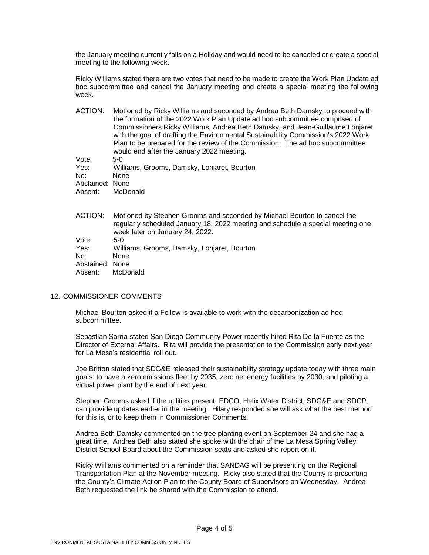the January meeting currently falls on a Holiday and would need to be canceled or create a special meeting to the following week.

Ricky Williams stated there are two votes that need to be made to create the Work Plan Update ad hoc subcommittee and cancel the January meeting and create a special meeting the following week.

| ACTION:         | Motioned by Ricky Williams and seconded by Andrea Beth Damsky to proceed with<br>the formation of the 2022 Work Plan Update ad hoc subcommittee comprised of<br>Commissioners Ricky Williams, Andrea Beth Damsky, and Jean-Guillaume Lonjaret<br>with the goal of drafting the Environmental Sustainability Commission's 2022 Work<br>Plan to be prepared for the review of the Commission. The ad hoc subcommittee<br>would end after the January 2022 meeting. |
|-----------------|------------------------------------------------------------------------------------------------------------------------------------------------------------------------------------------------------------------------------------------------------------------------------------------------------------------------------------------------------------------------------------------------------------------------------------------------------------------|
| Vote:           | $5-0$                                                                                                                                                                                                                                                                                                                                                                                                                                                            |
| Yes:            | Williams, Grooms, Damsky, Lonjaret, Bourton                                                                                                                                                                                                                                                                                                                                                                                                                      |
| No:             | None                                                                                                                                                                                                                                                                                                                                                                                                                                                             |
| Abstained: None |                                                                                                                                                                                                                                                                                                                                                                                                                                                                  |
| Absent:         | McDonald                                                                                                                                                                                                                                                                                                                                                                                                                                                         |
|                 |                                                                                                                                                                                                                                                                                                                                                                                                                                                                  |
| ACTION:         | Motioned by Stephen Grooms and seconded by Michael Bourton to cancel the                                                                                                                                                                                                                                                                                                                                                                                         |

ACTION: Motioned by Stephen Grooms and seconded by Michael Bourton to cancel the regularly scheduled January 18, 2022 meeting and schedule a special meeting one week later on January 24, 2022. Vote: 5-0 Yes: Williams, Grooms, Damsky, Lonjaret, Bourton

No: None

Abstained: None

Absent: McDonald

# 12. COMMISSIONER COMMENTS

Michael Bourton asked if a Fellow is available to work with the decarbonization ad hoc subcommittee.

Sebastian Sarria stated San Diego Community Power recently hired Rita De la Fuente as the Director of External Affairs. Rita will provide the presentation to the Commission early next year for La Mesa's residential roll out.

Joe Britton stated that SDG&E released their sustainability strategy update today with three main goals: to have a zero emissions fleet by 2035, zero net energy facilities by 2030, and piloting a virtual power plant by the end of next year.

Stephen Grooms asked if the utilities present, EDCO, Helix Water District, SDG&E and SDCP, can provide updates earlier in the meeting. Hilary responded she will ask what the best method for this is, or to keep them in Commissioner Comments.

Andrea Beth Damsky commented on the tree planting event on September 24 and she had a great time. Andrea Beth also stated she spoke with the chair of the La Mesa Spring Valley District School Board about the Commission seats and asked she report on it.

Ricky Williams commented on a reminder that SANDAG will be presenting on the Regional Transportation Plan at the November meeting. Ricky also stated that the County is presenting the County's Climate Action Plan to the County Board of Supervisors on Wednesday. Andrea Beth requested the link be shared with the Commission to attend.